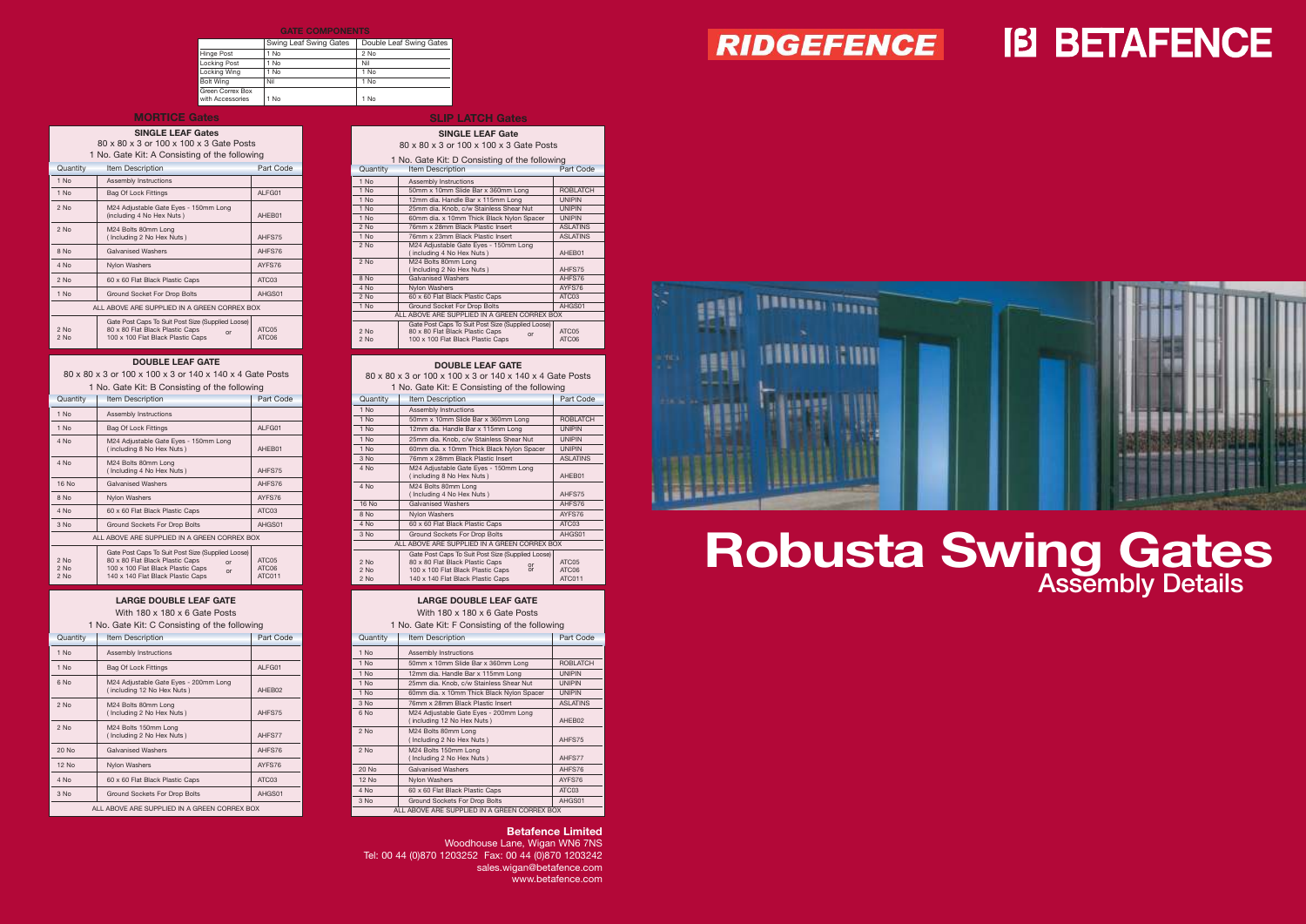## **Robusta Swing Gates** Assembly Details

### RIDGEFENCE

# **IB BETAFENCE**

### **Betafence Limited**

Woodhouse Lane, Wigan WN6 7NS Tel: 00 44 (0)870 1203252 Fax: 00 44 (0)870 1203242 sales.wigan@betafence.com www.betafence.com



#### **GATE COMPONENTS**

|                                      | Swing Leaf Swing Gates | Double Leaf Swing Gates |  |  |  |
|--------------------------------------|------------------------|-------------------------|--|--|--|
| Hinge Post                           | 1 No                   | $2$ No                  |  |  |  |
| <b>Locking Post</b>                  | 1 No                   | Nil                     |  |  |  |
| Locking Wing                         | 1 No                   | 1 No                    |  |  |  |
| <b>Bolt Wing</b>                     | Nil                    | 1 No                    |  |  |  |
| Green Correx Box<br>with Accessories | 1 No                   | 1 No                    |  |  |  |

### **SLIP LATCH Gates**

**SINGLE LEAF Gate**

80 x 80 x 3 or 100 x 100 x 3 or 140 x 140 x 4 Gate Posts 1 No. Gate Kit: B Consisting of the followin

| 80 x 80 x 3 or 100 x 100 x 3 Gate Posts |                                                   |                 |  |  |
|-----------------------------------------|---------------------------------------------------|-----------------|--|--|
|                                         | 1 No. Gate Kit: D Consisting of the following     |                 |  |  |
| Quantity                                | <b>Item Description</b>                           | Part Code       |  |  |
| $1$ No                                  | Assembly Instructions                             |                 |  |  |
| 1 No                                    | 50mm x 10mm Slide Bar x 360mm Long                | <b>ROBLATCH</b> |  |  |
| 1 No                                    | 12mm dia. Handle Bar x 115mm Long                 | <b>UNIPIN</b>   |  |  |
| 1 No                                    | 25mm dia. Knob, c/w Stainless Shear Nut           | <b>UNIPIN</b>   |  |  |
| 1 No                                    | 60mm dia. x 10mm Thick Black Nylon Spacer         | <b>UNIPIN</b>   |  |  |
| $2$ No                                  | 76mm x 28mm Black Plastic Insert                  | <b>ASLATINS</b> |  |  |
| 1 No                                    | 76mm x 23mm Black Plastic Insert                  | <b>ASLATINS</b> |  |  |
| $2$ No                                  | M24 Adjustable Gate Eyes - 150mm Long             |                 |  |  |
|                                         | (including 4 No Hex Nuts)                         | AHEB01          |  |  |
| 2 No                                    | M24 Bolts 80mm Long                               |                 |  |  |
|                                         | (Including 2 No Hex Nuts)                         | AHFS75          |  |  |
| 8 No                                    | <b>Galvanised Washers</b>                         | AHFS76          |  |  |
| 4 No                                    | Nylon Washers                                     | AYFS76          |  |  |
| 2 No                                    | 60 x 60 Flat Black Plastic Caps                   | ATC03           |  |  |
| 1 No                                    | Ground Socket For Drop Bolts                      | AHGS01          |  |  |
|                                         | ALL ABOVE ARE SUPPLIED IN A GREEN CORREX BOX      |                 |  |  |
|                                         | Gate Post Caps To Suit Post Size (Supplied Loose) |                 |  |  |
| $2$ No                                  | 80 x 80 Flat Black Plastic Caps<br>or             | ATC05           |  |  |
| $2$ No                                  | 100 x 100 Flat Black Plastic Caps                 | ATC06           |  |  |

### **DOUBLE LEAF GATE**

| T NO. Gate Kit. B Consisting of the following |                                                                                                                                                                            |                          |  |
|-----------------------------------------------|----------------------------------------------------------------------------------------------------------------------------------------------------------------------------|--------------------------|--|
| Quantity                                      | <b>Item Description</b>                                                                                                                                                    | Part Code                |  |
| 1 No                                          | <b>Assembly Instructions</b>                                                                                                                                               |                          |  |
| 1 No                                          | <b>Bag Of Lock Fittings</b>                                                                                                                                                | ALFG01                   |  |
| 4 No                                          | M24 Adjustable Gate Eyes - 150mm Long<br>(including 8 No Hex Nuts)                                                                                                         | AHEB01                   |  |
| 4 No                                          | M24 Bolts 80mm Long<br>(Including 4 No Hex Nuts)                                                                                                                           | AHFS75                   |  |
| 16 No                                         | <b>Galvanised Washers</b>                                                                                                                                                  | AHFS76                   |  |
| 8 No                                          | <b>Nylon Washers</b>                                                                                                                                                       | AYFS76                   |  |
| 4 No                                          | 60 x 60 Flat Black Plastic Caps                                                                                                                                            | ATC03                    |  |
| 3 No                                          | <b>Ground Sockets For Drop Bolts</b>                                                                                                                                       | AHGS01                   |  |
|                                               | ALL ABOVE ARE SUPPLIED IN A GREEN CORREX BOX                                                                                                                               |                          |  |
| $2$ No<br>$2$ No<br>$2$ No                    | Gate Post Caps To Suit Post Size (Supplied Loose)<br>80 x 80 Flat Black Plastic Caps<br>or<br>100 x 100 Flat Black Plastic Caps<br>or<br>140 x 140 Flat Black Plastic Caps | ATC05<br>ATC06<br>ATC011 |  |

### **DOUBLE LEAF GATE**

80 x 80 x 3 or 100 x 100 x 3 or 140 x 140 x 4 Gate Posts

### **LARGE DOUBLE LEAF GATE** With 180 x 180 x 6 Gate Posts

1 No. Gate Kit: C Consisting of the following

| $\sim$ . State full execution of the state function of |                                                                     |           |  |  |
|--------------------------------------------------------|---------------------------------------------------------------------|-----------|--|--|
| Quantity                                               | <b>Item Description</b>                                             | Part Code |  |  |
| 1 No                                                   | Assembly Instructions                                               |           |  |  |
| 1 No                                                   | <b>Bag Of Lock Fittings</b>                                         | ALFG01    |  |  |
| 6 No                                                   | M24 Adjustable Gate Eyes - 200mm Long<br>(including 12 No Hex Nuts) | AHEB02    |  |  |
| 2 No                                                   | M24 Bolts 80mm Long<br>(Including 2 No Hex Nuts)                    | AHFS75    |  |  |
| $2$ No                                                 | M24 Bolts 150mm Long<br>(Including 2 No Hex Nuts)                   | AHFS77    |  |  |
| 20 No                                                  | <b>Galvanised Washers</b>                                           | AHFS76    |  |  |
| 12 No                                                  | <b>Nylon Washers</b>                                                | AYFS76    |  |  |
| 4 No                                                   | 60 x 60 Flat Black Plastic Caps                                     | ATC03     |  |  |
| 3 No                                                   | <b>Ground Sockets For Drop Bolts</b>                                | AHGS01    |  |  |
| ALL ABOVE ARE SUPPLIED IN A GREEN CORREX BOX           |                                                                     |           |  |  |

### **LARGE DOUBLE LEAF GATE**

| following                     |                          | 1 No. Gate Kit: E Consisting of the following |                                                                                                                                                                                   |                          |
|-------------------------------|--------------------------|-----------------------------------------------|-----------------------------------------------------------------------------------------------------------------------------------------------------------------------------------|--------------------------|
|                               | Part Code                | Quantity                                      | Item Description                                                                                                                                                                  | Part Code                |
|                               |                          | 1 No                                          | Assembly Instructions                                                                                                                                                             |                          |
|                               |                          | 1 No                                          | 50mm x 10mm Slide Bar x 360mm Long                                                                                                                                                | <b>ROBLATCH</b>          |
|                               | ALFG01                   | 1 No                                          | 12mm dia. Handle Bar x 115mm Long                                                                                                                                                 | <b>UNIPIN</b>            |
| ١q                            |                          | 1 No                                          | 25mm dia. Knob. c/w Stainless Shear Nut                                                                                                                                           | <b>UNIPIN</b>            |
|                               | AHEB01                   | 1 No                                          | 60mm dia. x 10mm Thick Black Nylon Spacer                                                                                                                                         | <b>UNIPIN</b>            |
|                               |                          | $3$ No                                        | 76mm x 28mm Black Plastic Insert                                                                                                                                                  | <b>ASLATINS</b>          |
|                               | AHFS75                   | 4 No                                          | M24 Adjustable Gate Eyes - 150mm Long                                                                                                                                             |                          |
|                               |                          |                                               | (including 8 No Hex Nuts)<br>AHEB01                                                                                                                                               |                          |
|                               | AHFS76                   | 4 No                                          | M24 Bolts 80mm Long                                                                                                                                                               |                          |
|                               | AYFS76                   |                                               | (Including 4 No Hex Nuts)<br>AHFS75                                                                                                                                               |                          |
|                               | ATC03                    | <b>16 No</b>                                  | <b>Galvanised Washers</b>                                                                                                                                                         | AHFS76                   |
|                               |                          | 8 No                                          | Nylon Washers                                                                                                                                                                     | AYFS76                   |
|                               | AHGS01                   | 4 No                                          | 60 x 60 Flat Black Plastic Caps                                                                                                                                                   | ATC03                    |
| <b>RREX BOX</b>               |                          | 3 No                                          | Ground Sockets For Drop Bolts                                                                                                                                                     | AHGS01                   |
|                               |                          |                                               | ALL ABOVE ARE SUPPLIED IN A GREEN CORREX BOX                                                                                                                                      |                          |
| d Loose)  <br>or<br><b>or</b> | ATC05<br>ATC06<br>ATC011 | $2$ No<br>$2$ No<br>$2$ No                    | Gate Post Caps To Suit Post Size (Supplied Loose)<br>80 x 80 Flat Black Plastic Caps<br>or<br><b>or</b><br>100 x 100 Flat Black Plastic Caps<br>140 x 140 Flat Black Plastic Caps | ATC05<br>ATC06<br>ATC011 |

With 180 x 180 x 6 Gate Posts

1 No. Gate Kit: F Consisting of the following

| Quantity                                     | <b>Item Description</b>                                             | Part Code       |
|----------------------------------------------|---------------------------------------------------------------------|-----------------|
| 1 No                                         | Assembly Instructions                                               |                 |
| 1 No                                         | 50mm x 10mm Slide Bar x 360mm Long                                  | <b>ROBLATCH</b> |
| 1 No                                         | 12mm dia. Handle Bar x 115mm Long                                   | <b>UNIPIN</b>   |
| $1$ No                                       | 25mm dia. Knob, c/w Stainless Shear Nut                             | <b>UNIPIN</b>   |
| 1 No                                         | 60mm dia. x 10mm Thick Black Nylon Spacer                           | <b>UNIPIN</b>   |
| 3 No                                         | 76mm x 28mm Black Plastic Insert                                    | <b>ASLATINS</b> |
| 6 No                                         | M24 Adjustable Gate Eyes - 200mm Long<br>(including 12 No Hex Nuts) | AHEB02          |
| $2$ No                                       | M24 Bolts 80mm Long<br>(Including 2 No Hex Nuts)                    | AHFS75          |
| $2$ No                                       | M24 Bolts 150mm Long<br>(Including 2 No Hex Nuts)                   | AHFS77          |
| 20 No                                        | <b>Galvanised Washers</b>                                           | AHFS76          |
| <b>12 No</b>                                 | <b>Nylon Washers</b>                                                | AYFS76          |
| 4 No                                         | 60 x 60 Flat Black Plastic Caps                                     | ATC03           |
| 3 No                                         | <b>Ground Sockets For Drop Bolts</b>                                | AHGS01          |
| ALL ABOVE ARE SUPPLIED IN A GREEN CORREX BOX |                                                                     |                 |

### **MORTICE Gates**

### **SINGLE LEAF Gates** 80 x 80 x 3 or 100 x 100 x 3 Gate Posts 1 No. Gate Kit: A Consisting of the following

| Quantity       | <b>Item Description</b>                                                                                                         | Part Code      |
|----------------|---------------------------------------------------------------------------------------------------------------------------------|----------------|
| $1$ No         | Assembly Instructions                                                                                                           |                |
| $1$ No         | <b>Bag Of Lock Fittings</b>                                                                                                     | ALFG01         |
| $2$ No         | M24 Adjustable Gate Eyes - 150mm Long<br>(including 4 No Hex Nuts)                                                              | AHEB01         |
| $2$ No         | M24 Bolts 80mm Long<br>(Including 2 No Hex Nuts)                                                                                | AHFS75         |
| 8 No           | <b>Galvanised Washers</b>                                                                                                       | AHFS76         |
| 4 No           | <b>Nylon Washers</b>                                                                                                            | AYFS76         |
| $2$ No         | 60 x 60 Flat Black Plastic Caps                                                                                                 | ATC03          |
| 1 No           | Ground Socket For Drop Bolts                                                                                                    | AHGS01         |
|                | ALL ABOVE ARE SUPPLIED IN A GREEN CORREX BOX                                                                                    |                |
| $2$ No<br>2 No | Gate Post Caps To Suit Post Size (Supplied Loose)<br>80 x 80 Flat Black Plastic Caps<br>or<br>100 x 100 Flat Black Plastic Caps | ATC05<br>ATC06 |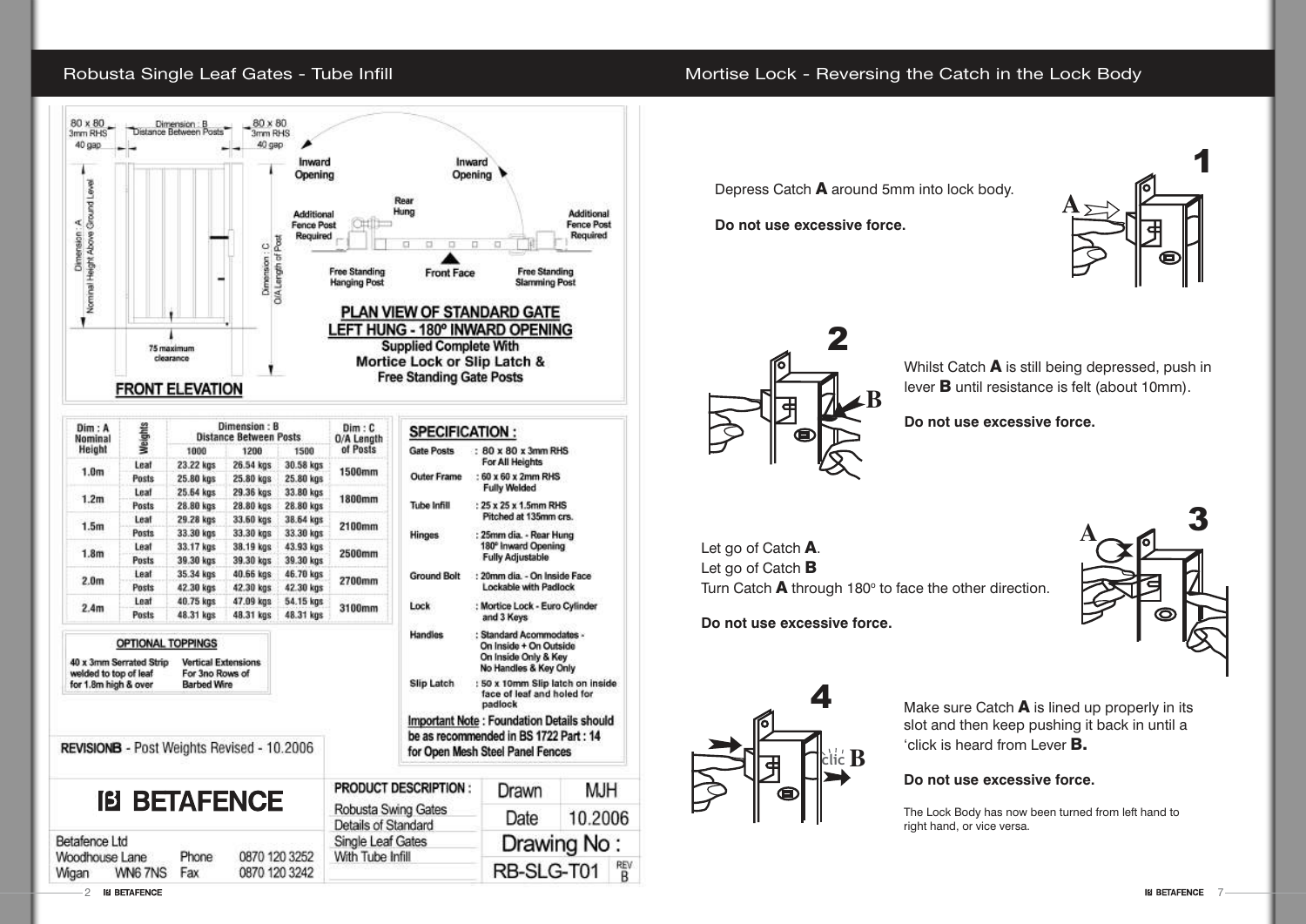### Robusta Single Leaf Gates - Tube Infill



| Dim : A<br>Nominal                                                       | Weights      |                                                                     | Dimension: B<br><b>Distance Between Posts</b> |           | Dim: C<br>0/A Length                                                               |  |
|--------------------------------------------------------------------------|--------------|---------------------------------------------------------------------|-----------------------------------------------|-----------|------------------------------------------------------------------------------------|--|
| Height                                                                   |              | 1000                                                                | 1200                                          | 1500      | of Posts                                                                           |  |
| 1.0 <sub>m</sub>                                                         | Leaf         | 23.22 kgs                                                           | 26.54 kgs                                     | 30.58 kgs | <b>1500mm</b>                                                                      |  |
|                                                                          | Posts        | 25.80 kgs                                                           | 25.80 kgs                                     | 25.80 kgs |                                                                                    |  |
| 1.2m                                                                     | Leaf         | 25.64 kgs                                                           | 29.36 kgs                                     | 33.80 kgs | 1800mm                                                                             |  |
|                                                                          | Posts        | 28.80 kgs                                                           | 28.80 kgs                                     | 28.80 kgs |                                                                                    |  |
| 1.5 <sub>m</sub>                                                         | Leaf         | 29.28 kgs                                                           | 33.60 kgs                                     | 38.64 kgs | 2100mm                                                                             |  |
|                                                                          | <b>Posts</b> | 33.30 kgs                                                           | 33.30 kgs                                     | 33.30 kgs |                                                                                    |  |
| 1.8 <sub>m</sub>                                                         | Leaf         | 33.17 kgs                                                           | 38.19 kgs                                     | 43.93 kgs | 2500mm                                                                             |  |
|                                                                          | Posts        | 39.30 kgs                                                           | 39.30 kgs                                     | 39.30 kgs |                                                                                    |  |
| 2.0 <sub>m</sub>                                                         | Leaf         | 35.34 kgs                                                           | 40.66 kgs                                     | 46.70 kgs | 2700mm                                                                             |  |
|                                                                          | Posts        | 42.30 kgs                                                           | 42.30 kgs                                     | 42.30 kgs |                                                                                    |  |
| 2.4 <sub>m</sub>                                                         | Leaf         | 40.75 kgs                                                           | 47.09 kgs                                     | 54.15 kgs | 3100mm                                                                             |  |
|                                                                          | Posts        | 48.31 kgs                                                           | 48.31 kgs                                     | 48.31 kgs |                                                                                    |  |
| 40 x 3mm Serrated Strip<br>welded to top of leaf<br>for 1.8m high & over |              | <b>Vertical Extensions</b><br>For 3no Rows of<br><b>Barbed Wire</b> |                                               |           |                                                                                    |  |
| REVISIONB - Post Weights Revised - 10.2006                               |              |                                                                     |                                               |           |                                                                                    |  |
| Betafence Ltd                                                            |              |                                                                     | <b>IB BETAFENCE</b>                           |           | <b>PRODUCT DESCR</b><br>Robusta Swing G<br>Details of Standar<br>Single Leaf Gates |  |
| Woodhouse Lane<br>Wigan                                                  | WN67NS       | Phone<br>Fax                                                        | 0870 120 3252<br>0870 120 3242                |           | With Tube Infill                                                                   |  |

| SPECIFICATION:<br><b>Gate Posts</b> | : $80 \times 80 \times 3$ mm RHS                                                                    |                                                |  |  |  |
|-------------------------------------|-----------------------------------------------------------------------------------------------------|------------------------------------------------|--|--|--|
|                                     | For All Heights                                                                                     |                                                |  |  |  |
| <b>Outer Frame</b>                  | : 60 x 60 x 2mm RHS<br><b>Fully Welded</b>                                                          |                                                |  |  |  |
| Tube Infill                         | : 25 x 25 x 1.5mm RHS<br>Pitched at 135mm crs.                                                      |                                                |  |  |  |
| Hinges                              | <b>Fully Adjustable</b>                                                                             | : 25mm dia. - Rear Hung<br>180° Inward Opening |  |  |  |
| <b>Ground Bolt</b>                  | : 20mm dia. - On Inside Face<br><b>Lockable with Padlock</b>                                        |                                                |  |  |  |
| Lock                                | : Mortice Lock - Euro Cylinder<br>and 3 Keys                                                        |                                                |  |  |  |
| Handles                             | : Standard Acommodates -<br>On Inside + On Outside<br>On Inside Only & Key<br>No Handles & Key Only |                                                |  |  |  |
| Slip Latch                          | : 50 x 10mm Slip latch on inside<br>face of leaf and holed for<br>padlock                           |                                                |  |  |  |
|                                     | <b>Important Note: Foundation Details should</b>                                                    |                                                |  |  |  |
|                                     | be as recommended in BS 1722 Part: 14                                                               |                                                |  |  |  |
|                                     | for Open Mesh Steel Panel Fences                                                                    |                                                |  |  |  |
| : SCRIPTION:                        | Drawn                                                                                               | МJН                                            |  |  |  |
| <b>ng Gates</b><br>ndard            | Date                                                                                                | 10.2006                                        |  |  |  |
| ates<br>$\mathbf{m}$                |                                                                                                     | Drawing No:                                    |  |  |  |

RB-SLG-T01

REV<br>B









Depress Catch A around 5mm into lock body.

Whilst Catch **A** is still being depressed, push in <sup>l</sup>ever B until resistance is felt (about 10mm).

**Do not use excessive force.**

<sup>L</sup>et go of Catch A. Let go of Catch **B** Turn Catch  $\overline{A}$  through 180 $^{\circ}$  to face the other direction.

**Do not use excessive force.**

Make sure Catch  $\blacktriangle$  is lined up properly in its slot and then keep pushing it back in until a 'click is hear<sup>d</sup> <sup>f</sup>rom <sup>L</sup>ever B.

**Do not use excessive force.**

### **Do not use excessive force.**

The Lock Body has now been turned from left hand to right hand, or vice versa.

2 BE ETAFENCE THE BETAFENCE THE SETAFENCE THE SETAFFENCE THE SETAFFENCE THE SETAFFENCE THE SETAFFENCE THE SETAFFENCE THE SETAFFENCE THE SETAFFENCE THE SETAFFENCE THE SETAFFENCE THE SETAFFENCE THE SETAFFENCE THE SETAFFENCE



### Mortise Lock - Reversing the Catch in the Lock Body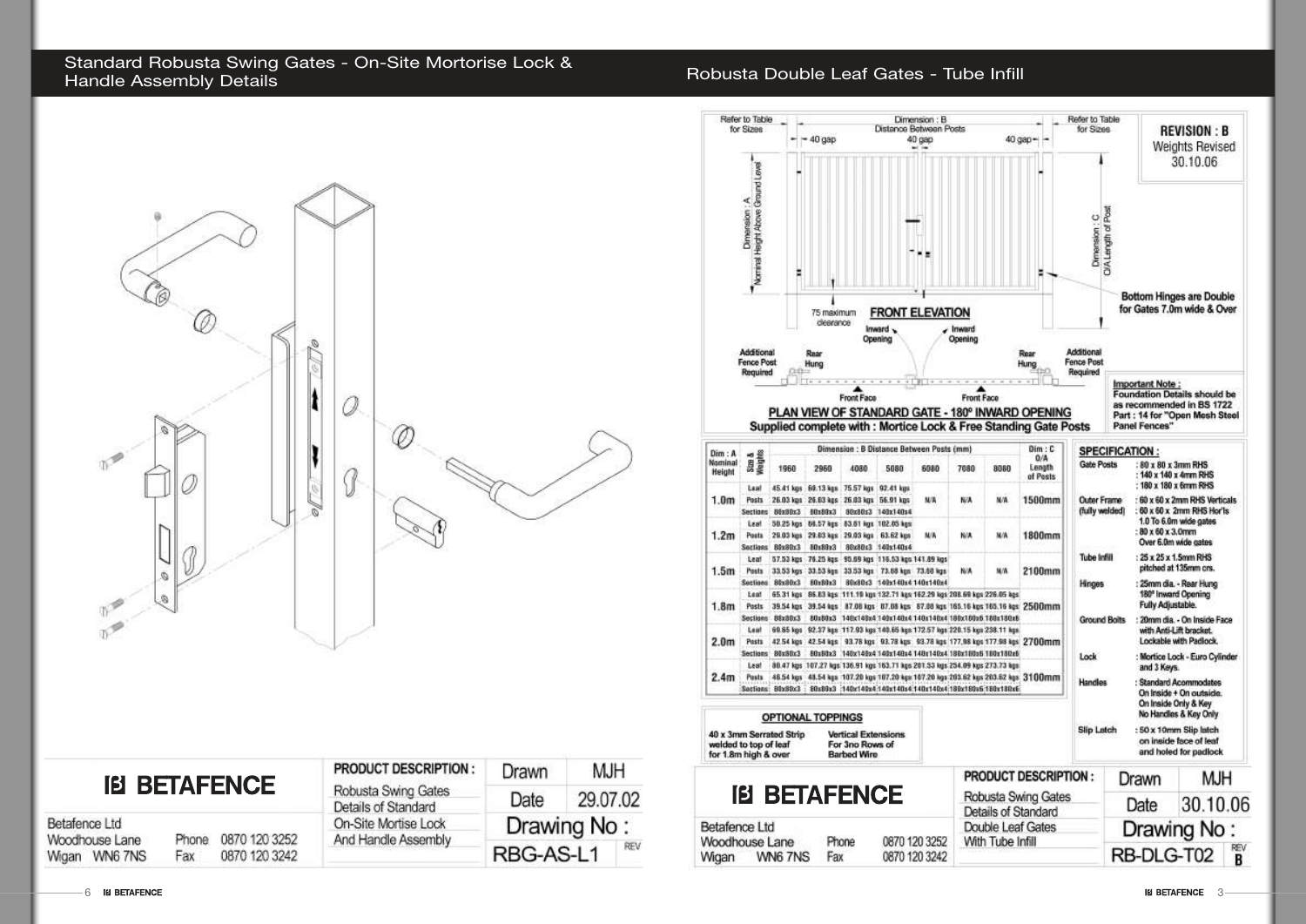## Standard Robusta Swing Gates - On-Site Mortorise Lock &

### Robusta Double Leaf Gates - Tube Infill



| <b>IB BETAFENCE</b> |  |
|---------------------|--|
|---------------------|--|

| Betafence Ltd |                |       |               |
|---------------|----------------|-------|---------------|
|               | Woodhouse Lane | Phone | 0870 120 3252 |
|               | Wigan WN6 7NS  | Fax   | 0870 120 3242 |

| PRODUCT DESCRIPTION :                      | Drawn                           | <b>MJH</b> |  |
|--------------------------------------------|---------------------------------|------------|--|
| Robusta Swing Gates<br>Details of Standard | Date                            | 29.07.02   |  |
| On-Site Mortise Lock                       | Drawing No:<br>REV<br>RBG-AS-L1 |            |  |
| And Handle Assembly                        |                                 |            |  |



| <b>IB BETAFENCE</b>          |         |       |               | <b>PROD</b> |  |
|------------------------------|---------|-------|---------------|-------------|--|
|                              |         |       |               | Robus       |  |
|                              |         |       | Detail:       |             |  |
| etafence Ltd                 |         |       |               | Double      |  |
| <i><b>loodhouse Lane</b></i> |         | Phone | 0870 120 3252 | With T      |  |
| ∧iqan                        | WN6 7NS | Fax   | 0870 120 3242 |             |  |